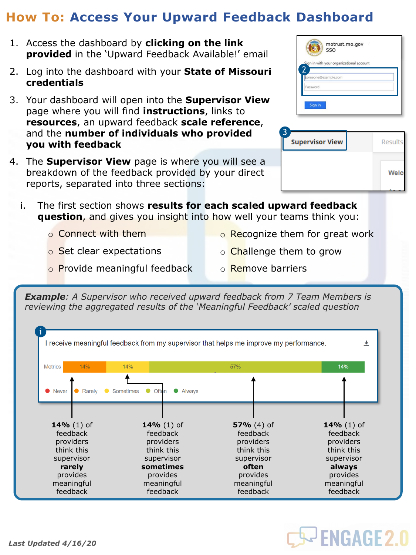## **How To: Access Your Upward Feedback Dashboard**

- 1. Access the dashboard by **clicking on the link provided** in the 'Upward Feedback Available!' email
- 2. Log into the dashboard with your **State of Missouri credentials**
- 3. Your dashboard will open into the **Supervisor View**  page where you will find **instructions**, links to **resources**, an upward feedback **scale reference**, and the **number of individuals who provided you with feedback**
- 4. The **Supervisor View** page is where you will see a breakdown of the feedback provided by your direct reports, separated into three sections:

|          |                     | Sign in with your organizational account |  |  |
|----------|---------------------|------------------------------------------|--|--|
| Password | someone@example.com |                                          |  |  |

| <b>Supervisor View</b> | Results     |
|------------------------|-------------|
|                        | <b>Welc</b> |
|                        |             |

- i. The first section shows **results for each scaled upward feedback question**, and gives you insight into how well your teams think you:
	- o Connect with them
- o Recognize them for great work
- o Set clear expectations

o Provide meaningful feedback

o Remove barriers

o **Challenge them to grow** 

*Example: A Supervisor who received upward feedback from 7 Team Members is reviewing the aggregated results of the 'Meaningful Feedback' scaled question*



## **S- ENGAGE 2.0**